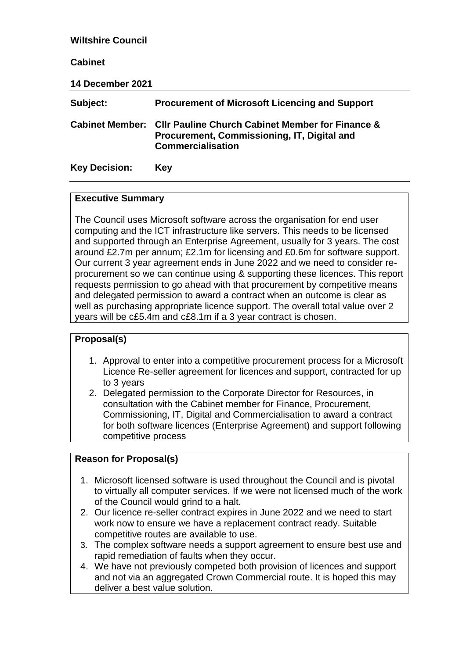| <b>Wiltshire Council</b> |                                                                                                                                        |  |
|--------------------------|----------------------------------------------------------------------------------------------------------------------------------------|--|
| <b>Cabinet</b>           |                                                                                                                                        |  |
| 14 December 2021         |                                                                                                                                        |  |
| Subject:                 | <b>Procurement of Microsoft Licencing and Support</b>                                                                                  |  |
| <b>Cabinet Member:</b>   | <b>CIIr Pauline Church Cabinet Member for Finance &amp;</b><br>Procurement, Commissioning, IT, Digital and<br><b>Commercialisation</b> |  |
| <b>Key Decision:</b>     | Key                                                                                                                                    |  |

### **Executive Summary**

The Council uses Microsoft software across the organisation for end user computing and the ICT infrastructure like servers. This needs to be licensed and supported through an Enterprise Agreement, usually for 3 years. The cost around £2.7m per annum; £2.1m for licensing and £0.6m for software support. Our current 3 year agreement ends in June 2022 and we need to consider reprocurement so we can continue using & supporting these licences. This report requests permission to go ahead with that procurement by competitive means and delegated permission to award a contract when an outcome is clear as well as purchasing appropriate licence support. The overall total value over 2 years will be c£5.4m and c£8.1m if a 3 year contract is chosen.

# **Proposal(s)**

- 1. Approval to enter into a competitive procurement process for a Microsoft Licence Re-seller agreement for licences and support, contracted for up to 3 years
- 2. Delegated permission to the Corporate Director for Resources, in consultation with the Cabinet member for Finance, Procurement, Commissioning, IT, Digital and Commercialisation to award a contract for both software licences (Enterprise Agreement) and support following competitive process

# **Reason for Proposal(s)**

- 1. Microsoft licensed software is used throughout the Council and is pivotal to virtually all computer services. If we were not licensed much of the work of the Council would grind to a halt.
- 2. Our licence re-seller contract expires in June 2022 and we need to start work now to ensure we have a replacement contract ready. Suitable competitive routes are available to use.
- 3. The complex software needs a support agreement to ensure best use and rapid remediation of faults when they occur.
- 4. We have not previously competed both provision of licences and support and not via an aggregated Crown Commercial route. It is hoped this may deliver a best value solution.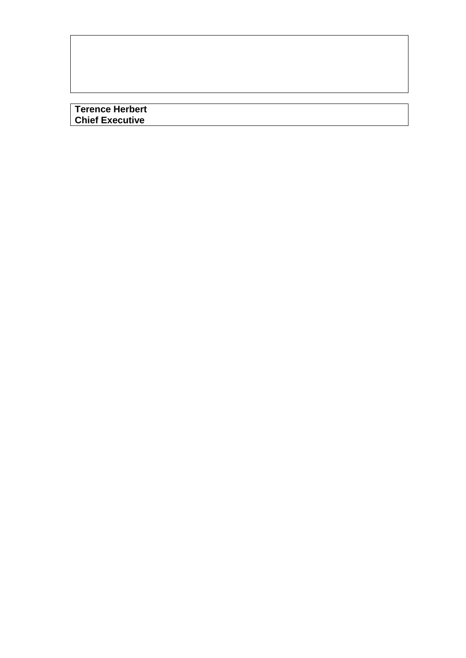**Terence Herbert Chief Executive**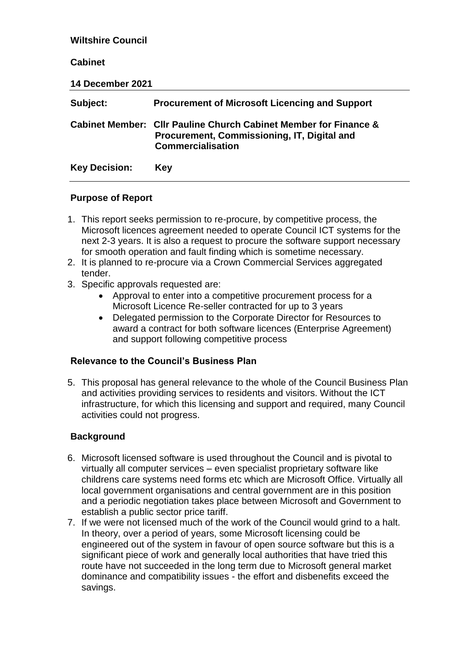| <b>Wiltshire Council</b> |                                                                                                                                             |  |
|--------------------------|---------------------------------------------------------------------------------------------------------------------------------------------|--|
| <b>Cabinet</b>           |                                                                                                                                             |  |
| 14 December 2021         |                                                                                                                                             |  |
| Subject:                 | <b>Procurement of Microsoft Licencing and Support</b>                                                                                       |  |
|                          | Cabinet Member: Cllr Pauline Church Cabinet Member for Finance &<br>Procurement, Commissioning, IT, Digital and<br><b>Commercialisation</b> |  |
| <b>Key Decision:</b>     | Key                                                                                                                                         |  |

### **Purpose of Report**

- 1. This report seeks permission to re-procure, by competitive process, the Microsoft licences agreement needed to operate Council ICT systems for the next 2-3 years. It is also a request to procure the software support necessary for smooth operation and fault finding which is sometime necessary.
- 2. It is planned to re-procure via a Crown Commercial Services aggregated tender.
- 3. Specific approvals requested are:
	- Approval to enter into a competitive procurement process for a Microsoft Licence Re-seller contracted for up to 3 years
	- Delegated permission to the Corporate Director for Resources to award a contract for both software licences (Enterprise Agreement) and support following competitive process

# **Relevance to the Council's Business Plan**

5. This proposal has general relevance to the whole of the Council Business Plan and activities providing services to residents and visitors. Without the ICT infrastructure, for which this licensing and support and required, many Council activities could not progress.

# **Background**

- 6. Microsoft licensed software is used throughout the Council and is pivotal to virtually all computer services – even specialist proprietary software like childrens care systems need forms etc which are Microsoft Office. Virtually all local government organisations and central government are in this position and a periodic negotiation takes place between Microsoft and Government to establish a public sector price tariff.
- 7. If we were not licensed much of the work of the Council would grind to a halt. In theory, over a period of years, some Microsoft licensing could be engineered out of the system in favour of open source software but this is a significant piece of work and generally local authorities that have tried this route have not succeeded in the long term due to Microsoft general market dominance and compatibility issues - the effort and disbenefits exceed the savings.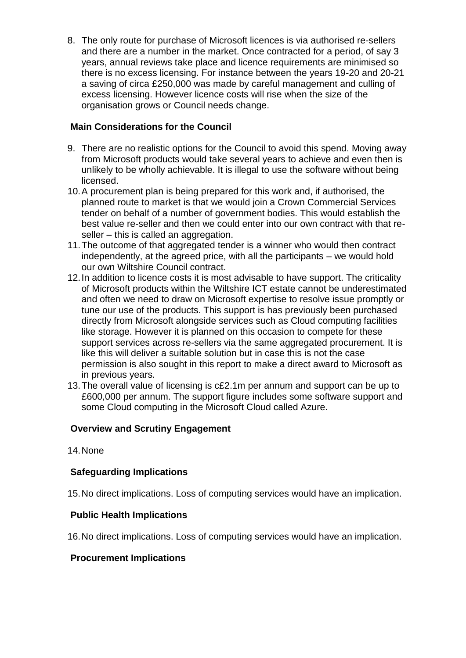8. The only route for purchase of Microsoft licences is via authorised re-sellers and there are a number in the market. Once contracted for a period, of say 3 years, annual reviews take place and licence requirements are minimised so there is no excess licensing. For instance between the years 19-20 and 20-21 a saving of circa £250,000 was made by careful management and culling of excess licensing. However licence costs will rise when the size of the organisation grows or Council needs change.

# **Main Considerations for the Council**

- 9. There are no realistic options for the Council to avoid this spend. Moving away from Microsoft products would take several years to achieve and even then is unlikely to be wholly achievable. It is illegal to use the software without being licensed.
- 10.A procurement plan is being prepared for this work and, if authorised, the planned route to market is that we would join a Crown Commercial Services tender on behalf of a number of government bodies. This would establish the best value re-seller and then we could enter into our own contract with that reseller – this is called an aggregation.
- 11.The outcome of that aggregated tender is a winner who would then contract independently, at the agreed price, with all the participants – we would hold our own Wiltshire Council contract.
- 12.In addition to licence costs it is most advisable to have support. The criticality of Microsoft products within the Wiltshire ICT estate cannot be underestimated and often we need to draw on Microsoft expertise to resolve issue promptly or tune our use of the products. This support is has previously been purchased directly from Microsoft alongside services such as Cloud computing facilities like storage. However it is planned on this occasion to compete for these support services across re-sellers via the same aggregated procurement. It is like this will deliver a suitable solution but in case this is not the case permission is also sought in this report to make a direct award to Microsoft as in previous years.
- 13.The overall value of licensing is c£2.1m per annum and support can be up to £600,000 per annum. The support figure includes some software support and some Cloud computing in the Microsoft Cloud called Azure.

# **Overview and Scrutiny Engagement**

14.None

# **Safeguarding Implications**

15.No direct implications. Loss of computing services would have an implication.

### **Public Health Implications**

16.No direct implications. Loss of computing services would have an implication.

### **Procurement Implications**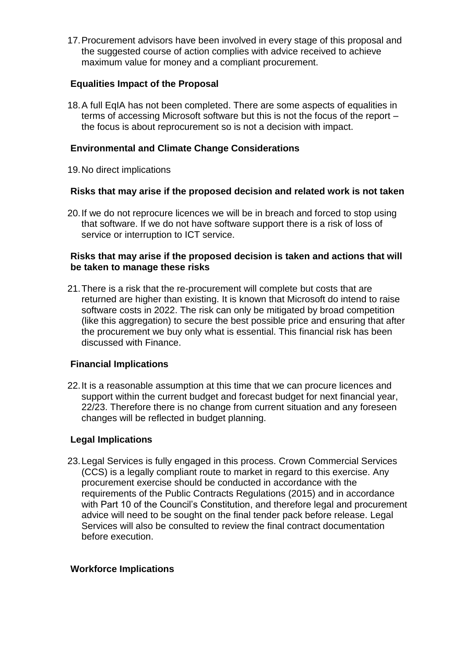17.Procurement advisors have been involved in every stage of this proposal and the suggested course of action complies with advice received to achieve maximum value for money and a compliant procurement.

### **Equalities Impact of the Proposal**

18.A full EqIA has not been completed. There are some aspects of equalities in terms of accessing Microsoft software but this is not the focus of the report – the focus is about reprocurement so is not a decision with impact.

## **Environmental and Climate Change Considerations**

19.No direct implications

## **Risks that may arise if the proposed decision and related work is not taken**

20.If we do not reprocure licences we will be in breach and forced to stop using that software. If we do not have software support there is a risk of loss of service or interruption to ICT service.

### **Risks that may arise if the proposed decision is taken and actions that will be taken to manage these risks**

21.There is a risk that the re-procurement will complete but costs that are returned are higher than existing. It is known that Microsoft do intend to raise software costs in 2022. The risk can only be mitigated by broad competition (like this aggregation) to secure the best possible price and ensuring that after the procurement we buy only what is essential. This financial risk has been discussed with Finance.

# **Financial Implications**

22.It is a reasonable assumption at this time that we can procure licences and support within the current budget and forecast budget for next financial year, 22/23. Therefore there is no change from current situation and any foreseen changes will be reflected in budget planning.

### **Legal Implications**

23.Legal Services is fully engaged in this process. Crown Commercial Services (CCS) is a legally compliant route to market in regard to this exercise. Any procurement exercise should be conducted in accordance with the requirements of the Public Contracts Regulations (2015) and in accordance with Part 10 of the Council's Constitution, and therefore legal and procurement advice will need to be sought on the final tender pack before release. Legal Services will also be consulted to review the final contract documentation before execution.

### **Workforce Implications**